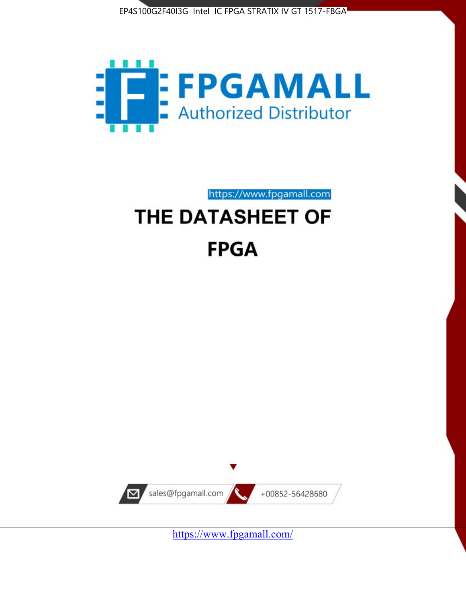



https://www.fpgamall.com

# THE DATASHEET OF **FPGA**



<https://www.fpgamall.com/>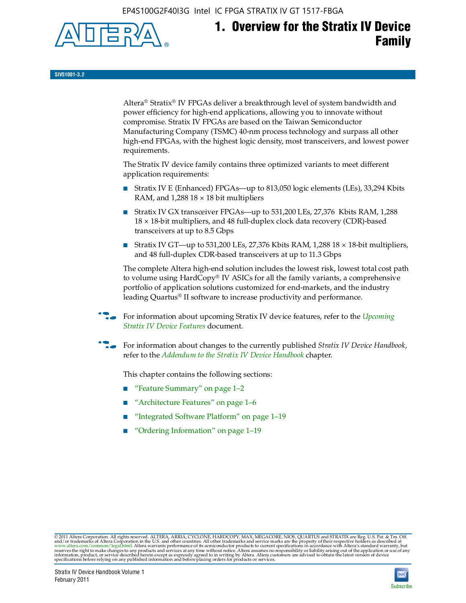EP4S100G2F40I3G Intel IC FPGA STRATIX IV GT 1517-FBGA



## **1. Overview for the Stratix IV Device Family**

**SIV51001-3.2**

Altera® Stratix® IV FPGAs deliver a breakthrough level of system bandwidth and power efficiency for high-end applications, allowing you to innovate without compromise. Stratix IV FPGAs are based on the Taiwan Semiconductor Manufacturing Company (TSMC) 40-nm process technology and surpass all other high-end FPGAs, with the highest logic density, most transceivers, and lowest power requirements.

The Stratix IV device family contains three optimized variants to meet different application requirements:

- Stratix IV E (Enhanced) FPGAs—up to 813,050 logic elements (LEs), 33,294 Kbits RAM, and  $1,288$   $18 \times 18$  bit multipliers
- Stratix IV GX transceiver FPGAs—up to 531,200 LEs, 27,376 Kbits RAM, 1,288 18 × 18-bit multipliers, and 48 full-duplex clock data recovery (CDR)-based transceivers at up to 8.5 Gbps
- Stratix IV GT—up to 531,200 LEs, 27,376 Kbits RAM, 1,288 18  $\times$  18-bit multipliers, and 48 full-duplex CDR-based transceivers at up to 11.3 Gbps

The complete Altera high-end solution includes the lowest risk, lowest total cost path to volume using HardCopy® IV ASICs for all the family variants, a comprehensive portfolio of application solutions customized for end-markets, and the industry leading Quartus® II software to increase productivity and performance.

f For information about upcoming Stratix IV device features, refer to the *[Upcoming](http://www.altera.com/literature/hb/stratix-iv/uf01001.pdf?GSA_pos=2&WT.oss_r=1&WT.oss=upcoming)  [Stratix IV Device Features](http://www.altera.com/literature/hb/stratix-iv/uf01001.pdf?GSA_pos=2&WT.oss_r=1&WT.oss=upcoming)* document.

f For information about changes to the currently published *Stratix IV Device Handbook*, refer to the *[Addendum to the Stratix IV Device Handbook](http://www.altera.com/literature/hb/stratix-iv/stx4_siv54002.pdf)* chapter.

This chapter contains the following sections:

- "Feature Summary" on page 1–2
- "Architecture Features" on page 1–6
- "Integrated Software Platform" on page 1–19
- "Ordering Information" on page 1–19

© 2011 Altera Corporation. All rights reserved. ALTERA, ARRIA, CYCLONE, HARDCOPY, MAX, MEGACORE, NIOS, QUARTUS and STRATIX are Reg. U.S. Pat. & Tm. Off.<br>and/or trademarks of Altera Corporation in the U.S. and other countri

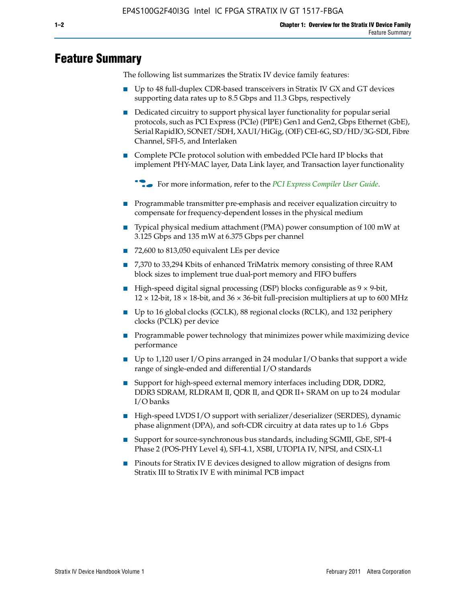### **Feature Summary**

The following list summarizes the Stratix IV device family features:

- Up to 48 full-duplex CDR-based transceivers in Stratix IV GX and GT devices supporting data rates up to 8.5 Gbps and 11.3 Gbps, respectively
- Dedicated circuitry to support physical layer functionality for popular serial protocols, such as PCI Express (PCIe) (PIPE) Gen1 and Gen2, Gbps Ethernet (GbE), Serial RapidIO, SONET/SDH, XAUI/HiGig, (OIF) CEI-6G, SD/HD/3G-SDI, Fibre Channel, SFI-5, and Interlaken
- Complete PCIe protocol solution with embedded PCIe hard IP blocks that implement PHY-MAC layer, Data Link layer, and Transaction layer functionality

**for more information, refer to the [PCI Express Compiler User Guide](http://www.altera.com/literature/ug/ug_pci_express.pdf).** 

- Programmable transmitter pre-emphasis and receiver equalization circuitry to compensate for frequency-dependent losses in the physical medium
- Typical physical medium attachment (PMA) power consumption of 100 mW at 3.125 Gbps and 135 mW at 6.375 Gbps per channel
- 72,600 to 813,050 equivalent LEs per device
- 7,370 to 33,294 Kbits of enhanced TriMatrix memory consisting of three RAM block sizes to implement true dual-port memory and FIFO buffers
- High-speed digital signal processing (DSP) blocks configurable as 9 × 9-bit,  $12 \times 12$ -bit,  $18 \times 18$ -bit, and  $36 \times 36$ -bit full-precision multipliers at up to 600 MHz
- Up to 16 global clocks (GCLK), 88 regional clocks (RCLK), and 132 periphery clocks (PCLK) per device
- Programmable power technology that minimizes power while maximizing device performance
- Up to 1,120 user I/O pins arranged in 24 modular I/O banks that support a wide range of single-ended and differential I/O standards
- Support for high-speed external memory interfaces including DDR, DDR2, DDR3 SDRAM, RLDRAM II, QDR II, and QDR II+ SRAM on up to 24 modular I/O banks
- High-speed LVDS I/O support with serializer/deserializer (SERDES), dynamic phase alignment (DPA), and soft-CDR circuitry at data rates up to 1.6 Gbps
- Support for source-synchronous bus standards, including SGMII, GbE, SPI-4 Phase 2 (POS-PHY Level 4), SFI-4.1, XSBI, UTOPIA IV, NPSI, and CSIX-L1
- Pinouts for Stratix IV E devices designed to allow migration of designs from Stratix III to Stratix IV E with minimal PCB impact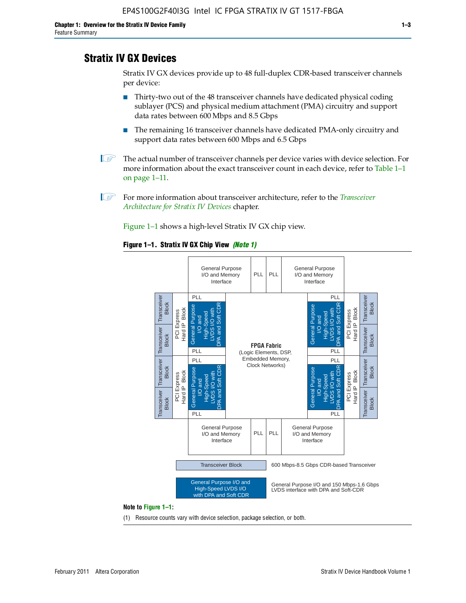### **Stratix IV GX Devices**

Stratix IV GX devices provide up to 48 full-duplex CDR-based transceiver channels per device:

- Thirty-two out of the 48 transceiver channels have dedicated physical coding sublayer (PCS) and physical medium attachment (PMA) circuitry and support data rates between 600 Mbps and 8.5 Gbps
- The remaining 16 transceiver channels have dedicated PMA-only circuitry and support data rates between 600 Mbps and 6.5 Gbps
- **1 The actual number of transceiver channels per device varies with device selection. For** more information about the exact transceiver count in each device, refer to Table 1–1 on page 1–11.
- 1 For more information about transceiver architecture, refer to the *[Transceiver](http://www/literature/hb/stratix-iv/stx4_siv52001.pdf)  [Architecture for Stratix IV Devices](http://www/literature/hb/stratix-iv/stx4_siv52001.pdf)* chapter.

Figure 1–1 shows a high-level Stratix IV GX chip view.

#### **Figure 1–1. Stratix IV GX Chip View** *(Note 1)*



(1) Resource counts vary with device selection, package selection, or both.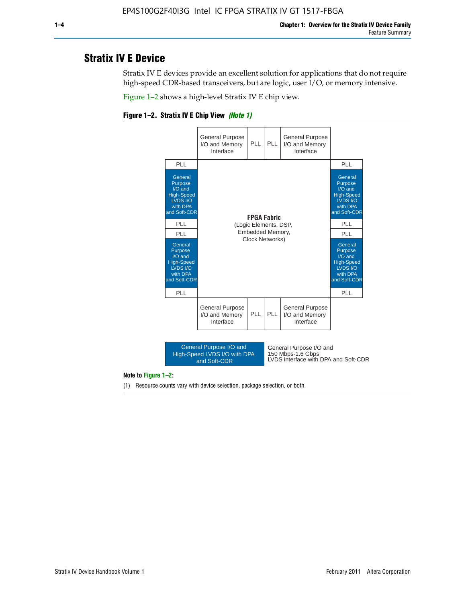### **Stratix IV E Device**

Stratix IV E devices provide an excellent solution for applications that do not require high-speed CDR-based transceivers, but are logic, user I/O, or memory intensive.

Figure 1–2 shows a high-level Stratix IV E chip view.





**Note to Figure 1–2:**

(1) Resource counts vary with device selection, package selection, or both.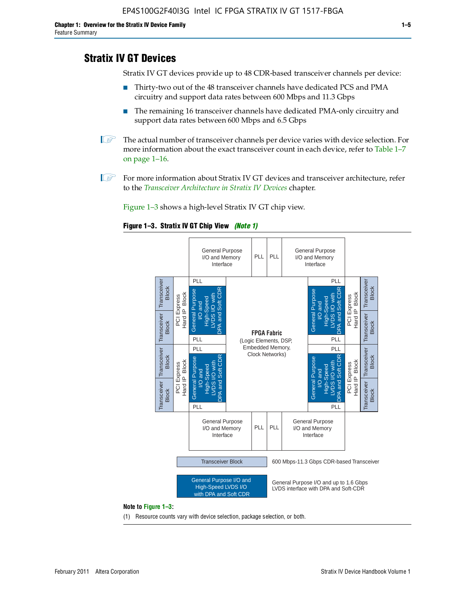#### **Stratix IV GT Devices**

Stratix IV GT devices provide up to 48 CDR-based transceiver channels per device:

- Thirty-two out of the 48 transceiver channels have dedicated PCS and PMA circuitry and support data rates between 600 Mbps and 11.3 Gbps
- The remaining 16 transceiver channels have dedicated PMA-only circuitry and support data rates between 600 Mbps and 6.5 Gbps
- **1 The actual number of transceiver channels per device varies with device selection. For** more information about the exact transceiver count in each device, refer to Table 1–7 on page 1–16.
- $\mathbb{I}$  For more information about Stratix IV GT devices and transceiver architecture, refer to the *[Transceiver Architecture in Stratix IV Devices](http://www/literature/hb/stratix-iv/stx4_siv52001.pdf)* chapter.

Figure 1–3 shows a high-level Stratix IV GT chip view.

#### **Figure 1–3. Stratix IV GT Chip View** *(Note 1)*



(1) Resource counts vary with device selection, package selection, or both.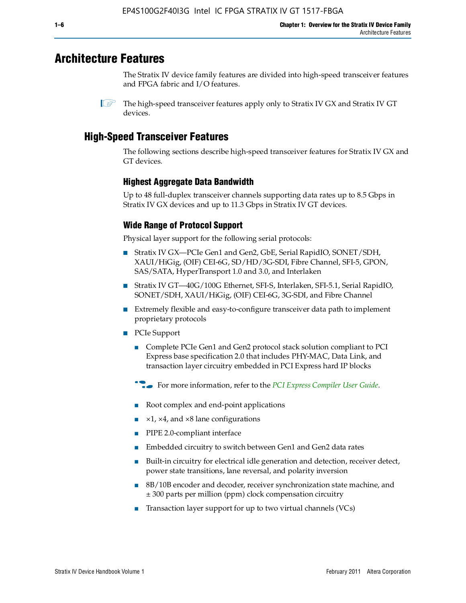### **Architecture Features**

The Stratix IV device family features are divided into high-speed transceiver features and FPGA fabric and I/O features.

 $\mathbb{I}$  The high-speed transceiver features apply only to Stratix IV GX and Stratix IV GT devices.

#### **High-Speed Transceiver Features**

The following sections describe high-speed transceiver features for Stratix IV GX and GT devices.

#### **Highest Aggregate Data Bandwidth**

Up to 48 full-duplex transceiver channels supporting data rates up to 8.5 Gbps in Stratix IV GX devices and up to 11.3 Gbps in Stratix IV GT devices.

#### **Wide Range of Protocol Support**

Physical layer support for the following serial protocols:

- Stratix IV GX—PCIe Gen1 and Gen2, GbE, Serial RapidIO, SONET/SDH, XAUI/HiGig, (OIF) CEI-6G, SD/HD/3G-SDI, Fibre Channel, SFI-5, GPON, SAS/SATA, HyperTransport 1.0 and 3.0, and Interlaken
- Stratix IV GT—40G/100G Ethernet, SFI-S, Interlaken, SFI-5.1, Serial RapidIO, SONET/SDH, XAUI/HiGig, (OIF) CEI-6G, 3G-SDI, and Fibre Channel
- Extremely flexible and easy-to-configure transceiver data path to implement proprietary protocols
- PCIe Support
	- Complete PCIe Gen1 and Gen2 protocol stack solution compliant to PCI Express base specification 2.0 that includes PHY-MAC, Data Link, and transaction layer circuitry embedded in PCI Express hard IP blocks
	- **For more information, refer to the** *[PCI Express Compiler User Guide](http://www.altera.com/literature/ug/ug_pci_express.pdf)***.**
	- Root complex and end-point applications
	- $\blacktriangleright$  ×1, ×4, and ×8 lane configurations
	- PIPE 2.0-compliant interface
	- Embedded circuitry to switch between Gen1 and Gen2 data rates
	- Built-in circuitry for electrical idle generation and detection, receiver detect, power state transitions, lane reversal, and polarity inversion
	- 8B/10B encoder and decoder, receiver synchronization state machine, and ± 300 parts per million (ppm) clock compensation circuitry
	- Transaction layer support for up to two virtual channels (VCs)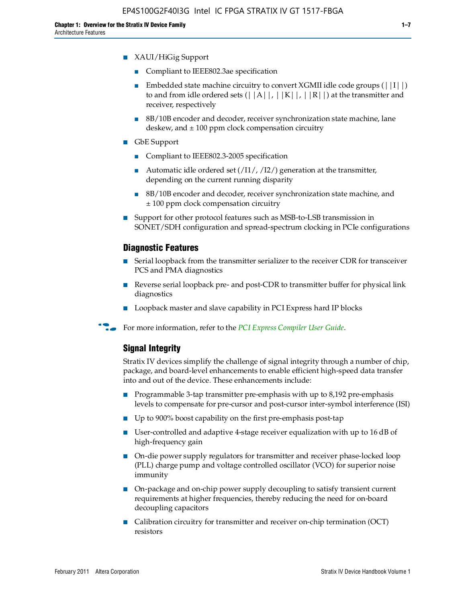- XAUI/HiGig Support
	- Compliant to IEEE802.3ae specification
	- **■** Embedded state machine circuitry to convert XGMII idle code groups  $(|1| \cdot |)$ to and from idle ordered sets  $(||A||, |K||, |R||)$  at the transmitter and receiver, respectively
	- 8B/10B encoder and decoder, receiver synchronization state machine, lane deskew, and  $\pm 100$  ppm clock compensation circuitry
- GbE Support
	- Compliant to IEEE802.3-2005 specification
	- Automatic idle ordered set  $(11/7/12/7)$  generation at the transmitter, depending on the current running disparity
	- 8B/10B encoder and decoder, receiver synchronization state machine, and ± 100 ppm clock compensation circuitry
- Support for other protocol features such as MSB-to-LSB transmission in SONET/SDH configuration and spread-spectrum clocking in PCIe configurations

#### **Diagnostic Features**

- Serial loopback from the transmitter serializer to the receiver CDR for transceiver PCS and PMA diagnostics
- Reverse serial loopback pre- and post-CDR to transmitter buffer for physical link diagnostics
- Loopback master and slave capability in PCI Express hard IP blocks
- **For more information, refer to the** *[PCI Express Compiler User Guide](http://www.altera.com/literature/ug/ug_pci_express.pdf)***.**

#### **Signal Integrity**

Stratix IV devices simplify the challenge of signal integrity through a number of chip, package, and board-level enhancements to enable efficient high-speed data transfer into and out of the device. These enhancements include:

- Programmable 3-tap transmitter pre-emphasis with up to 8,192 pre-emphasis levels to compensate for pre-cursor and post-cursor inter-symbol interference (ISI)
- Up to 900% boost capability on the first pre-emphasis post-tap
- User-controlled and adaptive 4-stage receiver equalization with up to 16 dB of high-frequency gain
- On-die power supply regulators for transmitter and receiver phase-locked loop (PLL) charge pump and voltage controlled oscillator (VCO) for superior noise immunity
- On-package and on-chip power supply decoupling to satisfy transient current requirements at higher frequencies, thereby reducing the need for on-board decoupling capacitors
- Calibration circuitry for transmitter and receiver on-chip termination (OCT) resistors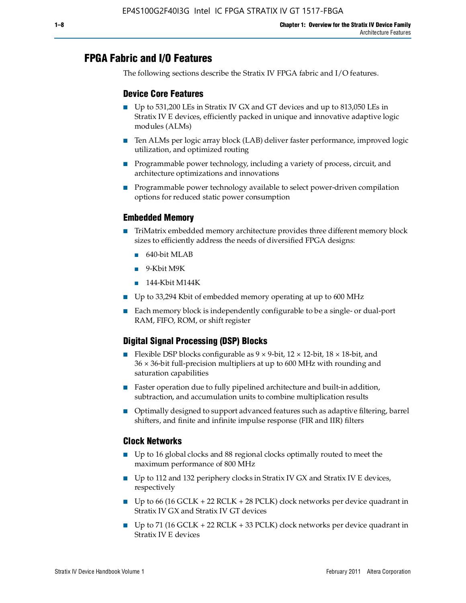### **FPGA Fabric and I/O Features**

The following sections describe the Stratix IV FPGA fabric and I/O features.

#### **Device Core Features**

- Up to 531,200 LEs in Stratix IV GX and GT devices and up to 813,050 LEs in Stratix IV E devices, efficiently packed in unique and innovative adaptive logic modules (ALMs)
- Ten ALMs per logic array block (LAB) deliver faster performance, improved logic utilization, and optimized routing
- Programmable power technology, including a variety of process, circuit, and architecture optimizations and innovations
- Programmable power technology available to select power-driven compilation options for reduced static power consumption

#### **Embedded Memory**

- TriMatrix embedded memory architecture provides three different memory block sizes to efficiently address the needs of diversified FPGA designs:
	- 640-bit MLAB
	- 9-Kbit M9K
	- 144-Kbit M144K
- Up to 33,294 Kbit of embedded memory operating at up to 600 MHz
- Each memory block is independently configurable to be a single- or dual-port RAM, FIFO, ROM, or shift register

#### **Digital Signal Processing (DSP) Blocks**

- Flexible DSP blocks configurable as  $9 \times 9$ -bit,  $12 \times 12$ -bit,  $18 \times 18$ -bit, and 36 × 36-bit full-precision multipliers at up to 600 MHz with rounding and saturation capabilities
- Faster operation due to fully pipelined architecture and built-in addition, subtraction, and accumulation units to combine multiplication results
- Optimally designed to support advanced features such as adaptive filtering, barrel shifters, and finite and infinite impulse response (FIR and IIR) filters

#### **Clock Networks**

- Up to 16 global clocks and 88 regional clocks optimally routed to meet the maximum performance of 800 MHz
- Up to 112 and 132 periphery clocks in Stratix IV GX and Stratix IV E devices, respectively
- Up to 66 (16 GCLK + 22 RCLK + 28 PCLK) clock networks per device quadrant in Stratix IV GX and Stratix IV GT devices
- **•** Up to 71 (16 GCLK + 22 RCLK + 33 PCLK) clock networks per device quadrant in Stratix IV E devices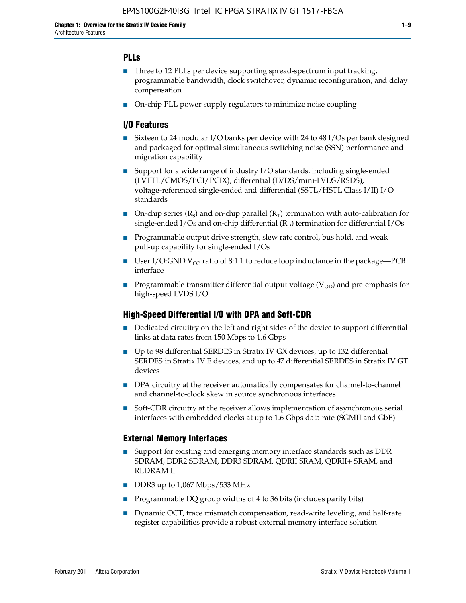#### **PLLs**

- Three to 12 PLLs per device supporting spread-spectrum input tracking, programmable bandwidth, clock switchover, dynamic reconfiguration, and delay compensation
- On-chip PLL power supply regulators to minimize noise coupling

#### **I/O Features**

- Sixteen to 24 modular I/O banks per device with 24 to 48 I/Os per bank designed and packaged for optimal simultaneous switching noise (SSN) performance and migration capability
- Support for a wide range of industry I/O standards, including single-ended (LVTTL/CMOS/PCI/PCIX), differential (LVDS/mini-LVDS/RSDS), voltage-referenced single-ended and differential (SSTL/HSTL Class I/II) I/O standards
- **O**n-chip series  $(R_S)$  and on-chip parallel  $(R_T)$  termination with auto-calibration for single-ended I/Os and on-chip differential  $(R_D)$  termination for differential I/Os
- Programmable output drive strength, slew rate control, bus hold, and weak pull-up capability for single-ended I/Os
- User I/O:GND:V<sub>CC</sub> ratio of 8:1:1 to reduce loop inductance in the package—PCB interface
- **•** Programmable transmitter differential output voltage ( $V_{OD}$ ) and pre-emphasis for high-speed LVDS I/O

#### **High-Speed Differential I/O with DPA and Soft-CDR**

- Dedicated circuitry on the left and right sides of the device to support differential links at data rates from 150 Mbps to 1.6 Gbps
- Up to 98 differential SERDES in Stratix IV GX devices, up to 132 differential SERDES in Stratix IV E devices, and up to 47 differential SERDES in Stratix IV GT devices
- DPA circuitry at the receiver automatically compensates for channel-to-channel and channel-to-clock skew in source synchronous interfaces
- Soft-CDR circuitry at the receiver allows implementation of asynchronous serial interfaces with embedded clocks at up to 1.6 Gbps data rate (SGMII and GbE)

#### **External Memory Interfaces**

- Support for existing and emerging memory interface standards such as DDR SDRAM, DDR2 SDRAM, DDR3 SDRAM, QDRII SRAM, QDRII+ SRAM, and RLDRAM II
- DDR3 up to 1,067 Mbps/533 MHz
- Programmable DQ group widths of 4 to 36 bits (includes parity bits)
- Dynamic OCT, trace mismatch compensation, read-write leveling, and half-rate register capabilities provide a robust external memory interface solution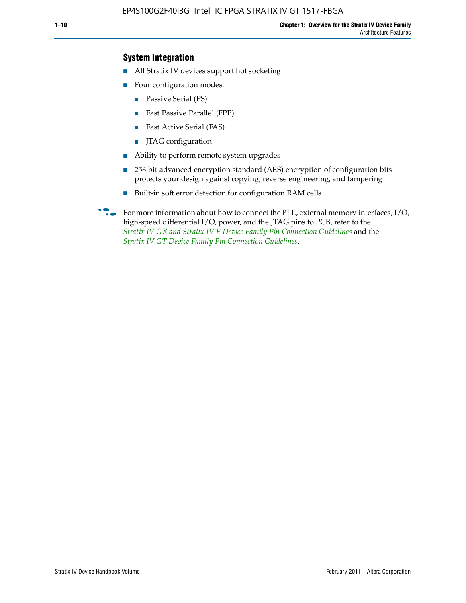#### **System Integration**

- All Stratix IV devices support hot socketing
- Four configuration modes:
	- Passive Serial (PS)
	- Fast Passive Parallel (FPP)
	- Fast Active Serial (FAS)
	- JTAG configuration
- Ability to perform remote system upgrades
- 256-bit advanced encryption standard (AES) encryption of configuration bits protects your design against copying, reverse engineering, and tampering
- Built-in soft error detection for configuration RAM cells

For more information about how to connect the PLL, external memory interfaces,  $I/O$ , high-speed differential I/O, power, and the JTAG pins to PCB, refer to the *[Stratix IV GX and Stratix IV E Device Family Pin Connection Guidelines](http://www.altera.com/literature/dp/stratix4/PCG-01005.pdf)* and the *[Stratix IV GT Device Family Pin Connection Guidelines](http://www.altera.com/literature/dp/stratix4/PCG-01006.pdf)*.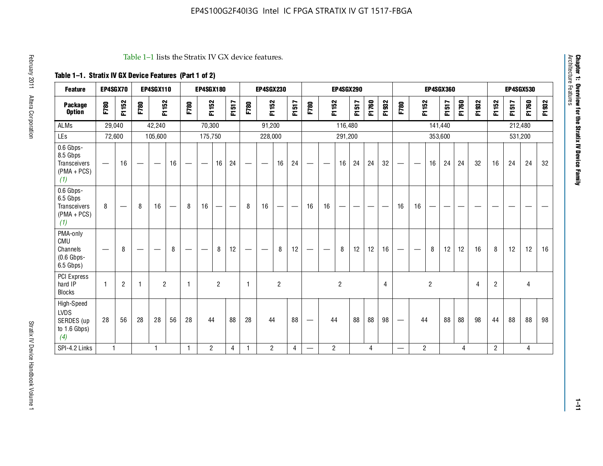| <b>Feature</b>                                                       | EP4SGX70                       |                   |                          | <b>EP4SGX110</b>                |    |                          | <b>EP4SGX180</b> |                |                          |      | <b>EP4SGX230</b> |                                   |                   |                                 |                          | <b>EP4SGX290</b>  |                          |       |                |                                 |                          |                | <b>EP4SGX360</b> |       |       |                |         | <b>EP4SGX530</b> |          |
|----------------------------------------------------------------------|--------------------------------|-------------------|--------------------------|---------------------------------|----|--------------------------|------------------|----------------|--------------------------|------|------------------|-----------------------------------|-------------------|---------------------------------|--------------------------|-------------------|--------------------------|-------|----------------|---------------------------------|--------------------------|----------------|------------------|-------|-------|----------------|---------|------------------|----------|
| <b>Package</b><br><b>Option</b>                                      | F780                           | F1152             | F780                     | F1152                           |    | F780                     | F1152            |                | F1517                    | F780 | F1152            |                                   | F1517             | F780                            |                          | F1152             | F1517                    | F1760 | F1932          | F780                            | F1152                    |                | F1517            | F1760 | F1932 | F1152          | F1517   | F1760            | 932<br>됴 |
| <b>ALMs</b>                                                          |                                | 29,040            |                          | 42,240                          |    |                          | 70,300           |                |                          |      | 91,200           |                                   |                   |                                 |                          | 116,480           |                          |       |                |                                 |                          | 141,440        |                  |       |       |                | 212,480 |                  |          |
| LEs                                                                  |                                | 72,600            |                          | 105,600                         |    |                          | 175,750          |                |                          |      | 228,000          |                                   |                   |                                 |                          | 291,200           |                          |       |                |                                 |                          |                | 353,600          |       |       |                | 531,200 |                  |          |
| 0.6 Gbps-<br>8.5 Gbps<br><b>Transceivers</b><br>$(PMA + PCs)$<br>(1) | $\qquad \qquad \longleftarrow$ | 16                |                          | $\hspace{0.1mm}-\hspace{0.1mm}$ | 16 | $\overline{\phantom{m}}$ | —                | 16             | 24                       | —    |                  | 16                                | 24                | $\hspace{0.1mm}-\hspace{0.1mm}$ | $\overline{\phantom{m}}$ | 16                | 24                       | 24    | 32             | $\hspace{0.05cm}$               | $\overline{\phantom{m}}$ | 16             | 24               | 24    | 32    | 16             | 24      | 24               | 32       |
| 0.6 Gbps-<br>6.5 Gbps<br>Transceivers<br>$(PMA + PCs)$<br>(1)        | 8                              | $\hspace{0.05cm}$ | 8                        | 16                              |    | 8                        | 16               |                | $\overline{\phantom{0}}$ | 8    | 16               | $\overbrace{\phantom{123221111}}$ | $\hspace{0.05cm}$ | 16                              | 16                       | $\hspace{0.05cm}$ | $\overline{\phantom{0}}$ | --    |                | 16                              | 16                       | —              | -                |       | --    | --             |         |                  |          |
| PMA-only<br>CMU<br>Channels<br>$(0.6$ Gbps-<br>6.5 Gbps)             |                                | 8                 | $\overline{\phantom{0}}$ |                                 | 8  |                          |                  | 8              | 12                       |      |                  | 8                                 | 12                | $\hspace{0.1mm}-\hspace{0.1mm}$ |                          | 8                 | 12                       | 12    | 16             |                                 | $\overline{\phantom{0}}$ | 8              | 12               | 12    | 16    | 8              | 12      | 12               | 16       |
| PCI Express<br>hard IP<br><b>Blocks</b>                              | $\overline{1}$                 | $\overline{2}$    | $\mathbf{1}$             | $\overline{2}$                  |    | $\mathbf{1}$             |                  | $\overline{2}$ |                          | 1    |                  | $\overline{2}$                    |                   |                                 |                          | $\overline{c}$    |                          |       | $\overline{4}$ |                                 |                          | $\overline{c}$ |                  |       | 4     | $\overline{2}$ |         | 4                |          |
| High-Speed<br><b>LVDS</b><br>SERDES (up<br>to $1.6$ Gbps)<br>(4)     | 28                             | 56                | 28                       | 28                              | 56 | 28                       | 44               |                | 88                       | 28   | 44               |                                   | 88                | $\overline{\phantom{m}}$        | 44                       |                   | 88                       | 88    | 98             | $\overbrace{\phantom{1232211}}$ | 44                       |                | 88               | 88    | 98    | 44             | 88      | 88               | 98       |
| SPI-4.2 Links                                                        | $\mathbf{1}$                   |                   |                          | $\mathbf{1}$                    |    | $\mathbf{1}$             | $\overline{2}$   |                | 4                        | -1   | $\overline{2}$   |                                   | $\overline{4}$    |                                 | $\overline{2}$           |                   |                          | 4     |                |                                 | $\overline{2}$           |                |                  | 4     |       | $\overline{2}$ |         | 4                |          |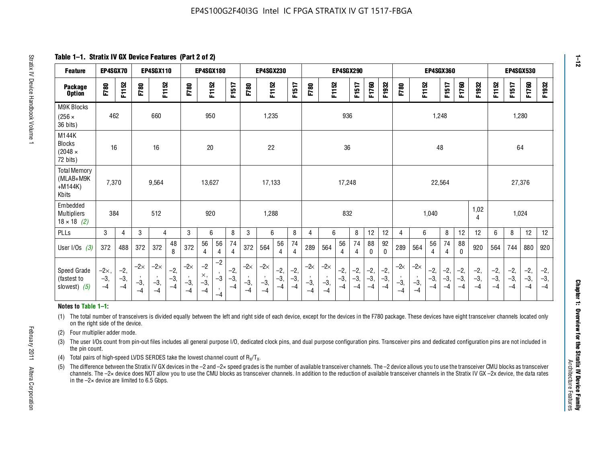**Table 1–1. Stratix IV GX Device Features (Part 2 of 2)**

| <b>Feature</b>                                                                                                                                                                                                                                                                                                                                                                                                                                                                      | EP4SGX70                    |                        |                             | EP4SGX110                   |                        |                             | EP4SGX180                           |                      |                        |                             | <b>EP4SGX230</b>            |                        |                        |                    |                             | <b>EP4SGX290</b>       |                        |                        |                        |                       |                             | <b>EP4SGX360</b>       |                        |                        |                        |                        | <b>EP4SGX530</b>       |                        |                        |
|-------------------------------------------------------------------------------------------------------------------------------------------------------------------------------------------------------------------------------------------------------------------------------------------------------------------------------------------------------------------------------------------------------------------------------------------------------------------------------------|-----------------------------|------------------------|-----------------------------|-----------------------------|------------------------|-----------------------------|-------------------------------------|----------------------|------------------------|-----------------------------|-----------------------------|------------------------|------------------------|--------------------|-----------------------------|------------------------|------------------------|------------------------|------------------------|-----------------------|-----------------------------|------------------------|------------------------|------------------------|------------------------|------------------------|------------------------|------------------------|------------------------|
| <b>Package</b><br><b>Option</b>                                                                                                                                                                                                                                                                                                                                                                                                                                                     | F780                        | F1152                  | F780                        | F1152                       |                        | F780                        | F1152                               |                      | F1517                  | F780                        | F1152                       |                        | F1517                  | F780               | F1152                       |                        | F1517                  | F1760                  | F1932                  | F780                  | F1152                       |                        | F1517                  | F1760                  | F1932                  | F1152                  | F1517                  | F1760                  | F1932                  |
| M9K Blocks<br>$(256 \times$<br>36 bits)                                                                                                                                                                                                                                                                                                                                                                                                                                             | 462                         |                        |                             | 660                         |                        |                             | 950                                 |                      |                        |                             | 1,235                       |                        |                        |                    |                             | 936                    |                        |                        |                        |                       |                             | 1,248                  |                        |                        |                        |                        |                        | 1,280                  |                        |
| M144K<br><b>Blocks</b><br>$(2048 \times$<br>72 bits)                                                                                                                                                                                                                                                                                                                                                                                                                                | 16                          |                        |                             | 16                          |                        |                             | 20                                  |                      |                        |                             | 22                          |                        |                        |                    |                             | 36                     |                        |                        |                        |                       |                             | 48                     |                        |                        |                        |                        | 64                     |                        |                        |
| <b>Total Memory</b><br>(MLAB+M9K<br>$+M144K)$<br>Kbits                                                                                                                                                                                                                                                                                                                                                                                                                              | 7,370                       |                        |                             | 9,564                       |                        |                             | 13.627                              |                      |                        |                             | 17,133                      |                        |                        |                    |                             | 17,248                 |                        |                        |                        |                       |                             | 22,564                 |                        |                        |                        |                        |                        | 27,376                 |                        |
| Embedded<br>Multipliers<br>$18 \times 18$ (2)                                                                                                                                                                                                                                                                                                                                                                                                                                       | 384                         |                        |                             | 512                         |                        |                             | 920                                 |                      |                        |                             | 1,288                       |                        |                        |                    |                             | 832                    |                        |                        |                        |                       |                             | 1,040                  |                        |                        | 1,02<br>4              |                        |                        | 1,024                  |                        |
| PLLs                                                                                                                                                                                                                                                                                                                                                                                                                                                                                | 3                           | $\overline{4}$         | 3                           | $\overline{4}$              |                        | 3                           | 6                                   |                      | 8                      | 3                           | 6                           |                        | 8                      | 4                  | 6                           |                        | 8                      | 12                     | 12                     | 4                     | 6                           |                        | 8                      | 12                     | 12                     | 6                      | 8                      | 12                     | 12                     |
| User I/Os $(3)$                                                                                                                                                                                                                                                                                                                                                                                                                                                                     | 372                         | 488                    | 372                         | 372                         | 48<br>8                | 372                         | 56<br>$\overline{4}$                | 56<br>4              | 74<br>$\overline{4}$   | 372                         | 564                         | 56<br>4                | 74<br>4                | 289                | 564                         | 56<br>$\overline{4}$   | 74<br>$\overline{4}$   | 88<br>$\mathbf{0}$     | 92<br>$\mathbf{0}$     | 289                   | 564                         | 56<br>4                | 74<br>$\overline{4}$   | 88<br>$\Omega$         | 920                    | 564                    | 744                    | 880                    | 920                    |
| Speed Grade<br>(fastest to<br>slowest) $(5)$                                                                                                                                                                                                                                                                                                                                                                                                                                        | $-2\times$<br>$-3,$<br>$-4$ | $-2,$<br>$-3,$<br>$-4$ | $-2\times$<br>$-3,$<br>$-4$ | $-2\times$<br>$-3,$<br>$-4$ | $-2,$<br>$-3,$<br>$-4$ | $-2\times$<br>$-3,$<br>$-4$ | $-2$<br>$\times$ ,<br>$-3,$<br>$-4$ | $-2$<br>$-3$<br>$-4$ | $-2,$<br>$-3,$<br>$-4$ | $-2\times$<br>$-3,$<br>$-4$ | $-2\times$<br>$-3,$<br>$-4$ | $-2,$<br>$-3,$<br>$-4$ | $-2,$<br>$-3,$<br>$-4$ | -2∝<br>$-3,$<br>-4 | $-2\times$<br>$-3,$<br>$-4$ | $-2,$<br>$-3,$<br>$-4$ | $-2,$<br>$-3,$<br>$-4$ | $-2,$<br>$-3,$<br>$-4$ | $-2,$<br>$-3,$<br>$-4$ | $-2$<br>$-3,$<br>$-4$ | $-2\times$<br>$-3,$<br>$-4$ | $-2,$<br>$-3,$<br>$-4$ | $-2,$<br>$-3,$<br>$-4$ | $-2,$<br>$-3,$<br>$-4$ | $-2,$<br>$-3,$<br>$-4$ | $-2,$<br>$-3,$<br>$-4$ | $-2,$<br>$-3,$<br>$-4$ | $-2,$<br>$-3,$<br>$-4$ | $-2,$<br>$-3,$<br>$-4$ |
| Notes to Table 1-1:                                                                                                                                                                                                                                                                                                                                                                                                                                                                 |                             |                        |                             |                             |                        |                             |                                     |                      |                        |                             |                             |                        |                        |                    |                             |                        |                        |                        |                        |                       |                             |                        |                        |                        |                        |                        |                        |                        |                        |
| (1) The total number of transceivers is divided equally between the left and right side of each device, except for the devices in the F780 package. These devices have eight transceiver channels located only<br>on the right side of the device.<br>Four multiplier adder mode.<br>(2)                                                                                                                                                                                            |                             |                        |                             |                             |                        |                             |                                     |                      |                        |                             |                             |                        |                        |                    |                             |                        |                        |                        |                        |                       |                             |                        |                        |                        |                        |                        |                        |                        |                        |
| The user I/Os count from pin-out files includes all general purpose I/O, dedicated clock pins, and dual purpose configuration pins. Transceiver pins and dedicated configuration pins are not included in<br>(3)<br>the pin count.                                                                                                                                                                                                                                                  |                             |                        |                             |                             |                        |                             |                                     |                      |                        |                             |                             |                        |                        |                    |                             |                        |                        |                        |                        |                       |                             |                        |                        |                        |                        |                        |                        |                        |                        |
| Total pairs of high-speed LVDS SERDES take the lowest channel count of $R_x/T_x$ .<br>(4)                                                                                                                                                                                                                                                                                                                                                                                           |                             |                        |                             |                             |                        |                             |                                     |                      |                        |                             |                             |                        |                        |                    |                             |                        |                        |                        |                        |                       |                             |                        |                        |                        |                        |                        |                        |                        |                        |
| The difference between the Stratix IV GX devices in the -2 and -2x speed grades is the number of available transceiver channels. The -2 device allows you to use the transceiver CMU blocks as transceiver<br>(5)<br>channels. The -2x device does NOT allow you to use the CMU blocks as transceiver channels. In addition to the reduction of available transceiver channels in the Stratix IV GX -2x device, the data rates<br>in the $-2\times$ device are limited to 6.5 Gbps. |                             |                        |                             |                             |                        |                             |                                     |                      |                        |                             |                             |                        |                        |                    |                             |                        |                        |                        |                        |                       |                             |                        |                        |                        |                        |                        |                        |                        |                        |

#### **Notes to Table 1–1:**

- (1) The total number of transceivers is divided equally between the left and right side of each device, except for the devices in the F780 package. These devices have eight transceiver channels located only on the right side of the device.
- (2) Four multiplier adder mode.
- (3) The user I/Os count from pin-out files includes all general purpose I/O, dedicated clock pins, and dual purpose configuration pins. Transceiver pins and dedicated configuration pins are not included in the pin count.
- (4) Total pairs of high-speed LVDS SERDES take the lowest channel count of  $R_X/T_X$ .
- (5) The difference between the Stratix IV GX devices in the –2 and –2× speed grades is the number of available transceiver channels. The –2 device allows you to use the transceiver CMU blocks as transceiver channels. The –2× device does NOT allow you to use the CMU blocks as transceiver channels. In addition to the reduction of available transceiver channels in the Stratix IV GX –2x device, the data rates in the  $-2\times$  device are limited to 6.5 Gbps.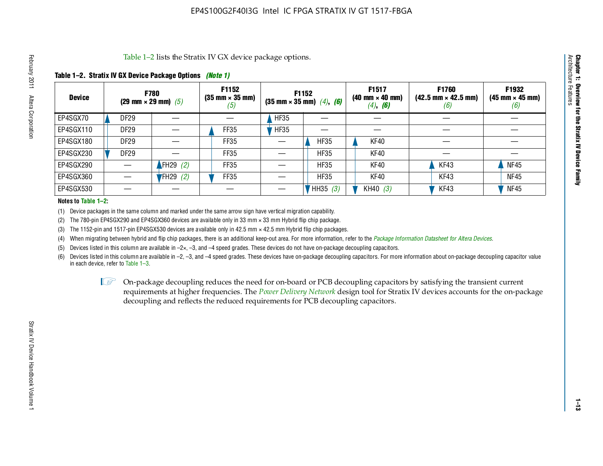#### **Table 1–2. Stratix IV GX Device Package Options** *(Note 1)*

|               | Table 1–2 lists the Stratix IV GX device package options.<br>Architecture                                                                                                                                                                                                                                                                                                         |                  |            |             |             |             |            |      |             |  |  |  |  |  |  |
|---------------|-----------------------------------------------------------------------------------------------------------------------------------------------------------------------------------------------------------------------------------------------------------------------------------------------------------------------------------------------------------------------------------|------------------|------------|-------------|-------------|-------------|------------|------|-------------|--|--|--|--|--|--|
|               | Table 1–2. Stratix IV GX Device Package Options <i>(Note 1)</i>                                                                                                                                                                                                                                                                                                                   |                  |            |             |             |             |            |      |             |  |  |  |  |  |  |
| <b>Device</b> | Features<br>F1932<br>F1517<br>F1760<br><b>F1152</b><br>F1152<br><b>F780</b><br>$(35 \text{ mm} \times 35 \text{ mm})$<br>$(42.5 \text{ mm} \times 42.5 \text{ mm})$<br>$(40 \text{ mm} \times 40 \text{ mm})$<br>$(45 \text{ mm} \times 45 \text{ mm})$<br>(29 mm $\times$ 29 mm) (5)<br>$(35 \text{ mm} \times 35 \text{ mm})$ $(4)$ , $(6)$<br>$(4)$ , <b>(6)</b><br>(6)<br>(b) |                  |            |             |             |             |            |      |             |  |  |  |  |  |  |
| EP4SGX70      |                                                                                                                                                                                                                                                                                                                                                                                   | DF29             |            |             | <b>HF35</b> |             |            |      |             |  |  |  |  |  |  |
| EP4SGX110     |                                                                                                                                                                                                                                                                                                                                                                                   | <b>DF29</b>      |            | <b>FF35</b> | HFS5        |             |            |      |             |  |  |  |  |  |  |
| EP4SGX180     |                                                                                                                                                                                                                                                                                                                                                                                   | DF29             |            | FF35        |             | <b>HF35</b> | KF40       |      |             |  |  |  |  |  |  |
| EP4SGX230     |                                                                                                                                                                                                                                                                                                                                                                                   | DF <sub>29</sub> |            | FF35        |             | <b>HF35</b> | KF40       |      |             |  |  |  |  |  |  |
| EP4SGX290     |                                                                                                                                                                                                                                                                                                                                                                                   |                  | FH29 $(2)$ | FF35        |             | <b>HF35</b> | KF40       | KF43 | <b>NF45</b> |  |  |  |  |  |  |
| EP4SGX360     |                                                                                                                                                                                                                                                                                                                                                                                   |                  | $FH29$ (2) | FF35        |             | <b>HF35</b> | KF40       | KF43 | <b>NF45</b> |  |  |  |  |  |  |
| EP4SGX530     |                                                                                                                                                                                                                                                                                                                                                                                   |                  |            |             |             | HH35 (3)    | KH40 $(3)$ | KF43 | <b>NF45</b> |  |  |  |  |  |  |

#### **Notes to Table 1–2:**

(1) Device packages in the same column and marked under the same arrow sign have vertical migration capability.

(2) The 780-pin EP4SGX290 and EP4SGX360 devices are available only in 33 mm × 33 mm Hybrid flip chip package.

(3) The 1152-pin and 1517-pin EP4SGX530 devices are available only in 42.5 mm  $\times$  42.5 mm Hybrid flip chip packages.

(4) When migrating between hybrid and flip chip packages, there is an additional keep-out area. For more information, refer to the *[Package Information Datasheet for Altera Devices](http://www.altera.com/literature/ds/dspkg.pdf)*.

(5) Devices listed in this column are available in  $-2\times$ ,  $-3$ , and  $-4$  speed grades. These devices do not have on-package decoupling capacitors.

(6) Devices listed in this column are available in –2, –3, and –4 speed grades. These devices have on-package decoupling capacitors. For more information about on-package decoupling capacitor value in each device, refer to Table 1–3.

 $I \otimes$  On-package decoupling reduces the need for on-board or PCB decoupling capacitors by satisfying the transient current requirements at higher frequencies. The *[Power Delivery Network](http://www.altera.com/literature/ug/pdn_tool_stxiv.zip)* design tool for Stratix IV devices accounts for the on-package decoupling and reflects the reduced requirements for PCB decoupling capacitors.

**Chapter 1: Overview for the Stratix IV Device Family**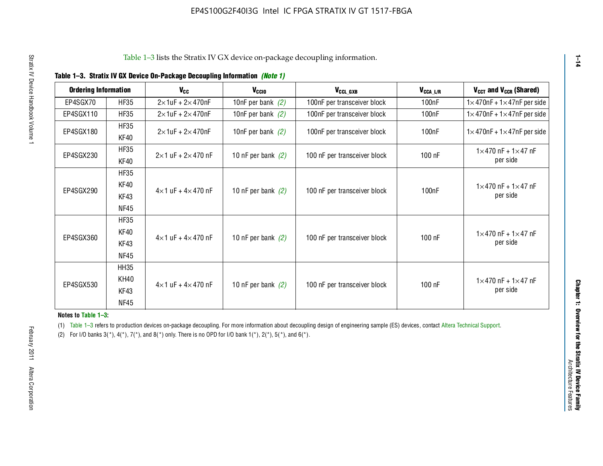| <b>Ordering Information</b> |                     | <b>V<sub>cc</sub></b>             | $V_{CGI0}$           | V <sub>CCL GXB</sub>         | $V_{\texttt{CCA}\_\textsf{L/R}}$ | $V_{CCT}$ and $V_{CCR}$ (Shared)                 |
|-----------------------------|---------------------|-----------------------------------|----------------------|------------------------------|----------------------------------|--------------------------------------------------|
| EP4SGX70                    | <b>HF35</b>         | $2\times 1$ uF + $2\times 470$ nF | 10nF per bank $(2)$  | 100nF per transceiver block  | 100 <sub>n</sub> F               | $1 \times 470$ nF + $1 \times 47$ nF per side    |
| EP4SGX110                   | <b>HF35</b>         | $2\times$ 1uF + 2 $\times$ 470nF  | 10nF per bank $(2)$  | 100nF per transceiver block  | 100 <sub>n</sub> F               | $1 \times 470$ nF + $1 \times 47$ nF per side    |
| EP4SGX180                   | <b>HF35</b>         | $2\times 1$ uF + $2\times 470$ nF | 10nF per bank $(2)$  | 100nF per transceiver block  | 100nF                            | $1 \times 470$ nF + $1 \times 47$ nF per side    |
|                             | KF40                |                                   |                      |                              |                                  |                                                  |
| EP4SGX230                   | <b>HF35</b><br>KF40 | $2\times1$ uF + $2\times470$ nF   | 10 nF per bank $(2)$ | 100 nF per transceiver block | 100 nF                           | $1 \times 470$ nF + $1 \times 47$ nF<br>per side |
|                             | <b>HF35</b>         |                                   |                      |                              |                                  |                                                  |
|                             | KF40                |                                   |                      |                              |                                  | $1 \times 470$ nF + $1 \times 47$ nF             |
| EP4SGX290                   | KF43                | $4\times1$ uF + $4\times470$ nF   | 10 nF per bank $(2)$ | 100 nF per transceiver block | 100nF                            | per side                                         |
|                             | NF45                |                                   |                      |                              |                                  |                                                  |
|                             | <b>HF35</b>         |                                   |                      |                              |                                  |                                                  |
| EP4SGX360                   | KF40                | $4\times1$ uF + $4\times470$ nF   | 10 nF per bank $(2)$ | 100 nF per transceiver block | 100 nF                           | $1 \times 470$ nF + $1 \times 47$ nF             |
|                             | KF43                |                                   |                      |                              |                                  | per side                                         |
|                             | <b>NF45</b>         |                                   |                      |                              |                                  |                                                  |
|                             | <b>HH35</b>         |                                   |                      |                              |                                  |                                                  |
| EP4SGX530                   | <b>KH40</b>         | $4\times1$ uF + $4\times470$ nF   | 10 nF per bank $(2)$ | 100 nF per transceiver block | 100 nF                           | $1 \times 470$ nF + $1 \times 47$ nF             |
|                             | KF43                |                                   |                      |                              |                                  | per side                                         |
|                             | <b>NF45</b>         |                                   |                      |                              |                                  |                                                  |

#### **Notes to Table 1–3:**

**1–14**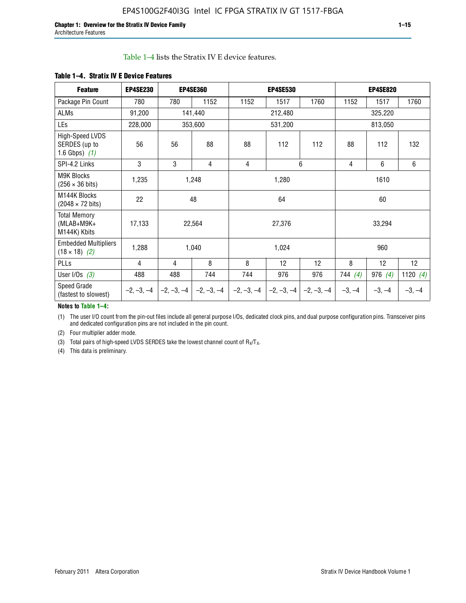#### Table 1–4 lists the Stratix IV E device features.

| <b>Feature</b>                                      | <b>EP4SE230</b> |              | <b>EP4SE360</b> |              | <b>EP4SE530</b> |              |          | <b>EP4SE820</b> |            |  |
|-----------------------------------------------------|-----------------|--------------|-----------------|--------------|-----------------|--------------|----------|-----------------|------------|--|
| Package Pin Count                                   | 780             | 780          | 1152            | 1152         | 1517            | 1760         | 1152     | 1517            | 1760       |  |
| ALMs                                                | 91,200          |              | 141,440         |              | 212,480         |              |          | 325,220         |            |  |
| LEs                                                 | 228,000         |              | 353,600         |              | 531,200         |              |          | 813,050         |            |  |
| High-Speed LVDS<br>SERDES (up to<br>1.6 Gbps) $(1)$ | 56              | 56           | 88              | 88           | 112             | 112          | 88       | 112             | 132        |  |
| SPI-4.2 Links                                       | 3               | 3            | 4               | 4            |                 | 6            | 4        | $6\phantom{a}$  | 6          |  |
| <b>M9K Blocks</b><br>$(256 \times 36 \text{ bits})$ | 1,235           |              | 1,248           |              | 1,280           |              |          | 1610            |            |  |
| M144K Blocks<br>$(2048 \times 72 \text{ bits})$     | 22              |              | 48              |              | 64              |              |          | 60              |            |  |
| <b>Total Memory</b><br>$(MLAB+M9K+$<br>M144K) Kbits | 17,133          |              | 22,564          |              | 27,376          |              |          | 33,294          |            |  |
| <b>Embedded Multipliers</b><br>$(18 \times 18)$ (2) | 1,288           |              | 1,040           |              | 1,024           |              |          | 960             |            |  |
| PLLs                                                | 4               | 4            | 8               | 8            | 12              | 12           | 8        | 12              | 12         |  |
| User I/Os $(3)$                                     | 488             | 488          | 744             | 744          | 976             | 976          | 744(4)   | 976 $(4)$       | 1120 $(4)$ |  |
| Speed Grade<br>(fastest to slowest)                 | $-2, -3, -4$    | $-2, -3, -4$ | $-2, -3, -4$    | $-2, -3, -4$ | $-2, -3, -4$    | $-2, -3, -4$ | $-3, -4$ | $-3, -4$        | $-3, -4$   |  |

#### **Table 1–4. Stratix IV E Device Features**

#### **Notes to Table 1–4:**

(1) The user I/O count from the pin-out files include all general purpose I/Os, dedicated clock pins, and dual purpose configuration pins. Transceiver pins and dedicated configuration pins are not included in the pin count.

(2) Four multiplier adder mode.

(3) Total pairs of high-speed LVDS SERDES take the lowest channel count of  $R_X/T_X$ .

(4) This data is preliminary.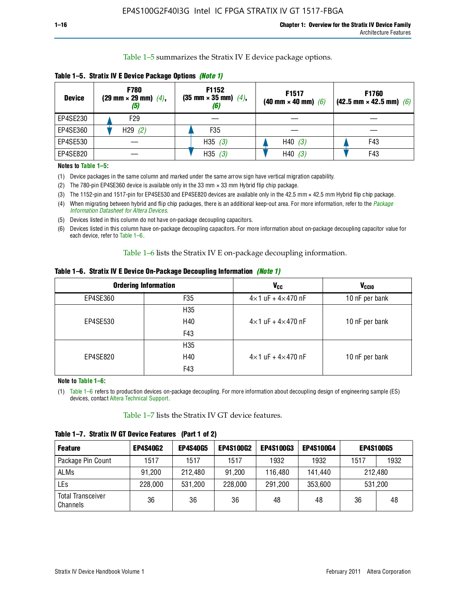Table 1–5 summarizes the Stratix IV E device package options.

| <b>Device</b> | <b>F780</b><br>$(29 \text{ mm} \times 29 \text{ mm})$ $(4)$ ,<br>$\left(5\right)$ | F1152<br>$(35 \text{ mm} \times 35 \text{ mm})$ $(4)$ , | F1517<br>(40 mm $\times$ 40 mm) (6) | F1760<br>$(42.5 \text{ mm} \times 42.5 \text{ mm})$ (6) |
|---------------|-----------------------------------------------------------------------------------|---------------------------------------------------------|-------------------------------------|---------------------------------------------------------|
| EP4SE230      | F29                                                                               |                                                         |                                     |                                                         |
| EP4SE360      | H29(2)                                                                            | F <sub>35</sub>                                         |                                     |                                                         |
| EP4SE530      |                                                                                   | H35 $(3)$                                               | H40(3)                              | F43                                                     |
| EP4SE820      |                                                                                   | H35(3)                                                  | H40(3)                              | F43                                                     |

**Table 1–5. Stratix IV E Device Package Options** *(Note 1)*

#### **Notes to Table 1–5:**

- (1) Device packages in the same column and marked under the same arrow sign have vertical migration capability.
- (2) The 780-pin EP4SE360 device is available only in the 33 mm × 33 mm Hybrid flip chip package.
- (3) The 1152-pin and 1517-pin for EP4SE530 and EP4SE820 devices are available only in the 42.5 mm × 42.5 mm Hybrid flip chip package.
- (4) When migrating between hybrid and flip chip packages, there is an additional keep-out area. For more information, refer to the *[Package](http://www.altera.com/literature/ds/dspkg.pdf)  [Information Datasheet for Altera Devices](http://www.altera.com/literature/ds/dspkg.pdf)*.
- (5) Devices listed in this column do not have on-package decoupling capacitors.
- (6) Devices listed in this column have on-package decoupling capacitors. For more information about on-package decoupling capacitor value for each device, refer to Table 1–6.

Table 1–6 lists the Stratix IV E on-package decoupling information.

|  | Table 1–6. Stratix IV E Device On-Package Decoupling Information <i>(Note 1)</i> |  |  |  |  |  |
|--|----------------------------------------------------------------------------------|--|--|--|--|--|
|--|----------------------------------------------------------------------------------|--|--|--|--|--|

|          | <b>Ordering Information</b> | <b>V<sub>cc</sub></b>               | <b>V<sub>CCIO</sub></b> |
|----------|-----------------------------|-------------------------------------|-------------------------|
| EP4SE360 | F <sub>35</sub>             | $4\times$ 1 uF + $4\times$ 470 nF   | 10 nF per bank          |
|          | H35                         |                                     |                         |
| EP4SE530 | H40                         | $4 \times 1$ uF + $4 \times 470$ nF | 10 nF per bank          |
|          | F43                         |                                     |                         |
|          | H <sub>35</sub>             |                                     |                         |
| EP4SE820 | H40                         | $4 \times 1$ uF + $4 \times 470$ nF | 10 nF per bank          |
|          | F43                         |                                     |                         |

**Note to Table 1–6:**

(1) Table 1–6 refers to production devices on-package decoupling. For more information about decoupling design of engineering sample (ES) devices, contact [Altera Technical Support.](http://mysupport.altera.com/eservice/login.asp)

Table 1–7 lists the Stratix IV GT device features.

| <b>Feature</b>                       | <b>EP4S40G2</b> | <b>EP4S40G5</b> | <b>EP4S100G2</b> | <b>EP4S100G3</b> | <b>EP4S100G4</b> | <b>EP4S100G5</b> |      |
|--------------------------------------|-----------------|-----------------|------------------|------------------|------------------|------------------|------|
| Package Pin Count                    | 1517            | 1517            | 1517             | 1932             | 1932             | 1517             | 1932 |
| <b>ALMs</b>                          | 91,200          | 212,480         | 91,200           | 116,480          | 141,440          | 212,480          |      |
| LEs                                  | 228,000         | 531,200         | 228,000          | 291,200          | 353,600          | 531,200          |      |
| <b>Total Transceiver</b><br>Channels | 36              | 36              | 36               | 48               | 48               | 36               | 48   |

**Table 1–7. Stratix IV GT Device Features (Part 1 of 2)**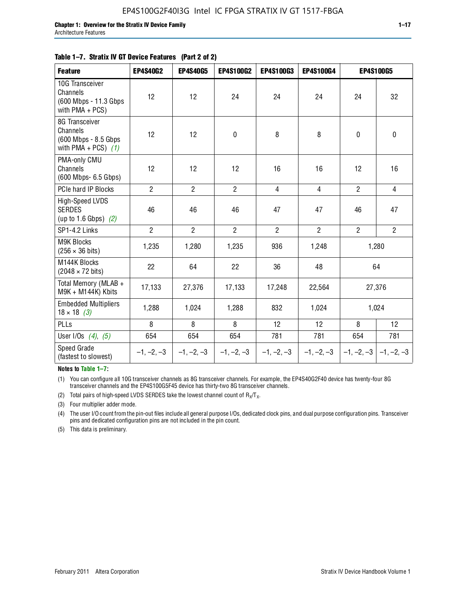#### **Table 1–7. Stratix IV GT Device Features (Part 2 of 2)**

| <b>Feature</b>                                                              | <b>EP4S40G2</b> | <b>EP4S40G5</b> | <b>EP4S100G2</b> | <b>EP4S100G3</b> | <b>EP4S100G4</b> |                | <b>EP4S100G5</b>          |
|-----------------------------------------------------------------------------|-----------------|-----------------|------------------|------------------|------------------|----------------|---------------------------|
| 10G Transceiver<br>Channels<br>(600 Mbps - 11.3 Gbps<br>with $PMA + PCS$ )  | 12              | 12              | 24               | 24               | 24               | 24             | 32                        |
| 8G Transceiver<br>Channels<br>(600 Mbps - 8.5 Gbps<br>with PMA + PCS) $(1)$ | 12              | 12              | $\mathbf 0$      | 8                | 8                | $\pmb{0}$      | 0                         |
| PMA-only CMU<br>Channels<br>(600 Mbps- 6.5 Gbps)                            | 12              | 12              | 12               | 16               | 16               | 12             | 16                        |
| PCIe hard IP Blocks                                                         | $\overline{2}$  | $\overline{2}$  | $\overline{2}$   | $\overline{4}$   | $\overline{4}$   | $\overline{2}$ | $\overline{4}$            |
| High-Speed LVDS<br><b>SERDES</b><br>(up to 1.6 Gbps) $(2)$                  | 46              | 46              | 46               | 47               | 47               | 46             | 47                        |
| SP1-4.2 Links                                                               | $\overline{2}$  | $\overline{2}$  | $\overline{2}$   | $\overline{2}$   | $\overline{2}$   | $\overline{2}$ | $\overline{2}$            |
| <b>M9K Blocks</b><br>$(256 \times 36 \text{ bits})$                         | 1,235           | 1,280           | 1,235            | 936              | 1,248            |                | 1,280                     |
| M144K Blocks<br>$(2048 \times 72 \text{ bits})$                             | 22              | 64              | 22               | 36               | 48               |                | 64                        |
| Total Memory (MLAB +<br>M9K + M144K) Kbits                                  | 17,133          | 27,376          | 17,133           | 17,248           | 22,564           |                | 27,376                    |
| <b>Embedded Multipliers</b><br>$18 \times 18$ (3)                           | 1,288           | 1,024           | 1,288            | 832              | 1,024            |                | 1,024                     |
| PLLs                                                                        | 8               | 8               | 8                | 12               | 12               | 8              | 12                        |
| User I/Os $(4)$ , $(5)$                                                     | 654             | 654             | 654              | 781              | 781              | 654            | 781                       |
| Speed Grade<br>(fastest to slowest)                                         | $-1, -2, -3$    | $-1, -2, -3$    | $-1, -2, -3$     | $-1, -2, -3$     | $-1, -2, -3$     |                | $-1, -2, -3$ $-1, -2, -3$ |

**Notes to Table 1–7:**

(1) You can configure all 10G transceiver channels as 8G transceiver channels. For example, the EP4S40G2F40 device has twenty-four 8G transceiver channels and the EP4S100G5F45 device has thirty-two 8G transceiver channels.

(2) Total pairs of high-speed LVDS SERDES take the lowest channel count of  $R_X/T_X$ .

(3) Four multiplier adder mode.

(4) The user I/O count from the pin-out files include all general purpose I/Os, dedicated clock pins, and dual purpose configuration pins. Transceiver pins and dedicated configuration pins are not included in the pin count.

(5) This data is preliminary.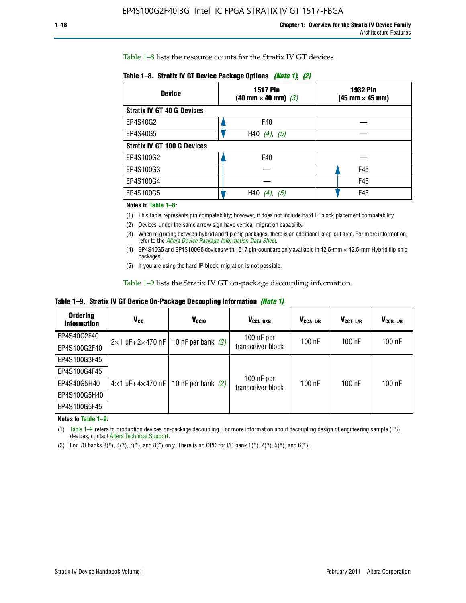Table 1–8 lists the resource counts for the Stratix IV GT devices.

| <b>Device</b>                      | <b>1517 Pin</b><br>$(40 \text{ mm} \times 40 \text{ mm})$ (3) | 1932 Pin<br>(45 mm × 45 mm) |
|------------------------------------|---------------------------------------------------------------|-----------------------------|
| <b>Stratix IV GT 40 G Devices</b>  |                                                               |                             |
| EP4S40G2                           | F40                                                           |                             |
| EP4S40G5                           | H40 $(4)$ , $(5)$                                             |                             |
| <b>Stratix IV GT 100 G Devices</b> |                                                               |                             |
| EP4S100G2                          | F40                                                           |                             |
| EP4S100G3                          |                                                               | F45                         |
| EP4S100G4                          |                                                               | F45                         |
| EP4S100G5                          | H40<br>(5)                                                    | F45                         |

**Table 1–8. Stratix IV GT Device Package Options** *(Note 1)***,** *(2)*

#### **Notes to Table 1–8:**

(1) This table represents pin compatability; however, it does not include hard IP block placement compatability.

- (2) Devices under the same arrow sign have vertical migration capability.
- (3) When migrating between hybrid and flip chip packages, there is an additional keep-out area. For more information, refer to the *[Altera Device Package Information Data Sheet](http://www.altera.com/literature/ds/dspkg.pdf)*.
- (4) EP4S40G5 and EP4S100G5 devices with 1517 pin-count are only available in 42.5-mm × 42.5-mm Hybrid flip chip packages.
- (5) If you are using the hard IP block, migration is not possible.

Table 1–9 lists the Stratix IV GT on-package decoupling information.

**Table 1–9. Stratix IV GT Device On-Package Decoupling Information** *(Note 1)*

| <b>Ordering</b><br><b>Information</b> | V <sub>CC</sub>                 | V <sub>CCIO</sub>                             | V <sub>CCL GXB</sub>            | V <sub>CCA_L/R</sub> | V <sub>CCT L/R</sub> | V <sub>CCR_L/R</sub> |
|---------------------------------------|---------------------------------|-----------------------------------------------|---------------------------------|----------------------|----------------------|----------------------|
| EP4S40G2F40                           |                                 | $2 \times 1$ uF+2×470 nF   10 nF per bank (2) | $100$ nF per                    | 100 nF               | $100$ nF             | $100$ nF             |
| EP4S100G2F40                          |                                 |                                               | transceiver block               |                      |                      |                      |
| EP4S100G3F45                          |                                 |                                               |                                 |                      |                      |                      |
| EP4S100G4F45                          |                                 |                                               |                                 |                      |                      |                      |
| EP4S40G5H40                           | $4\times1$ uF+4 $\times$ 470 nF | 10 nF per bank $(2)$                          | 100 nF per<br>transceiver block | 100 nF               | $100$ nF             | $100$ nF             |
| EP4S100G5H40                          |                                 |                                               |                                 |                      |                      |                      |
| EP4S100G5F45                          |                                 |                                               |                                 |                      |                      |                      |

**Notes to Table 1–9:**

(1) Table 1–9 refers to production devices on-package decoupling. For more information about decoupling design of engineering sample (ES) devices, contact [Altera Technical Support.](http://mysupport.altera.com/eservice/login.asp)

(2) For I/O banks  $3(*)$ ,  $4(*)$ ,  $7(*)$ , and  $8(*)$  only. There is no OPD for I/O bank  $1(*)$ ,  $2(*)$ ,  $5(*)$ , and  $6(*)$ .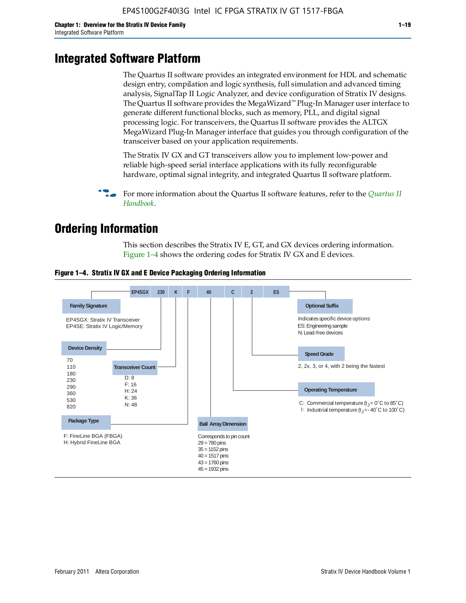### **Integrated Software Platform**

The Quartus II software provides an integrated environment for HDL and schematic design entry, compilation and logic synthesis, full simulation and advanced timing analysis, SignalTap II Logic Analyzer, and device configuration of Stratix IV designs. The Quartus II software provides the MegaWizard™ Plug-In Manager user interface to generate different functional blocks, such as memory, PLL, and digital signal processing logic. For transceivers, the Quartus II software provides the ALTGX MegaWizard Plug-In Manager interface that guides you through configuration of the transceiver based on your application requirements.

The Stratix IV GX and GT transceivers allow you to implement low-power and reliable high-speed serial interface applications with its fully reconfigurable hardware, optimal signal integrity, and integrated Quartus II software platform.

For more information about the [Quartus II](http://www.altera.com/literature/lit-qts.jsp) software features, refer to the *Quartus II [Handbook](http://www.altera.com/literature/lit-qts.jsp)*.

### **Ordering Information**

This section describes the Stratix IV E, GT, and GX devices ordering information. Figure 1–4 shows the ordering codes for Stratix IV GX and E devices.



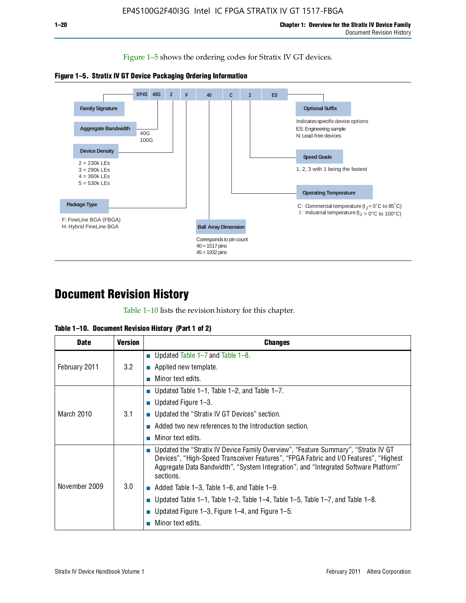Figure 1–5 shows the ordering codes for Stratix IV GT devices.





### **Document Revision History**

Table 1–10 lists the revision history for this chapter.

|  |  | Table 1–10. Document Revision History (Part 1 of 2) |  |  |
|--|--|-----------------------------------------------------|--|--|
|--|--|-----------------------------------------------------|--|--|

| <b>Date</b>   | <b>Version</b> | <b>Changes</b>                                                                                                                                                                                                                                                                  |
|---------------|----------------|---------------------------------------------------------------------------------------------------------------------------------------------------------------------------------------------------------------------------------------------------------------------------------|
| February 2011 | 3.2            | ■ Updated Table $1-7$ and Table $1-8$ .                                                                                                                                                                                                                                         |
|               |                | $\blacksquare$ Applied new template.                                                                                                                                                                                                                                            |
|               |                | Minor text edits.                                                                                                                                                                                                                                                               |
| March 2010    | 3.1            | ■ Updated Table 1–1, Table 1–2, and Table 1–7.                                                                                                                                                                                                                                  |
|               |                | <b>Updated Figure 1–3.</b>                                                                                                                                                                                                                                                      |
|               |                | ■ Updated the "Stratix IV GT Devices" section.                                                                                                                                                                                                                                  |
|               |                | Added two new references to the Introduction section.                                                                                                                                                                                                                           |
|               |                | Minor text edits.                                                                                                                                                                                                                                                               |
| November 2009 | 3.0            | Updated the "Stratix IV Device Family Overview", "Feature Summary", "Stratix IV GT<br>Devices", "High-Speed Transceiver Features", "FPGA Fabric and I/O Features", "Highest<br>Aggregate Data Bandwidth", "System Integration", and "Integrated Software Platform"<br>sections. |
|               |                | $\blacksquare$ Added Table 1-3, Table 1-6, and Table 1-9.                                                                                                                                                                                                                       |
|               |                | Updated Table 1–1, Table 1–2, Table 1–4, Table 1–5, Table 1–7, and Table 1–8.                                                                                                                                                                                                   |
|               |                | Updated Figure 1–3, Figure 1–4, and Figure 1–5.<br><b>The State</b>                                                                                                                                                                                                             |
|               |                | Minor text edits.                                                                                                                                                                                                                                                               |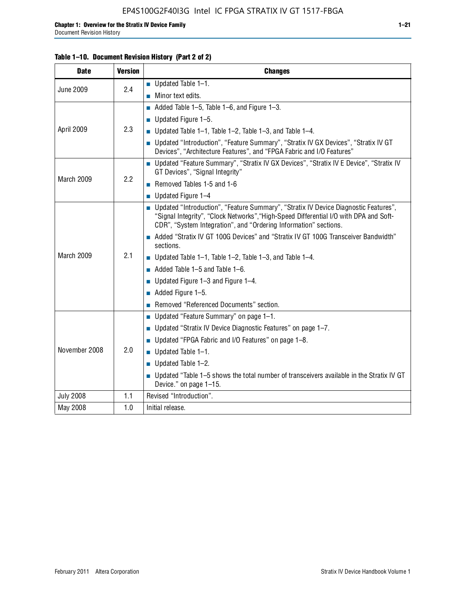#### EP4S100G2F40I3G Intel IC FPGA STRATIX IV GT 1517-FBGA

| <b>Date</b>      | <b>Version</b> | <b>Changes</b>                                                                                                                                                                                                                                     |  |
|------------------|----------------|----------------------------------------------------------------------------------------------------------------------------------------------------------------------------------------------------------------------------------------------------|--|
| <b>June 2009</b> | 2.4            | $\blacksquare$ Updated Table 1-1.                                                                                                                                                                                                                  |  |
|                  |                | Minor text edits.                                                                                                                                                                                                                                  |  |
|                  |                | Added Table 1-5, Table 1-6, and Figure 1-3.                                                                                                                                                                                                        |  |
| April 2009       | 2.3            | $\blacksquare$ Updated Figure 1-5.                                                                                                                                                                                                                 |  |
|                  |                | ■ Updated Table 1–1, Table 1–2, Table 1–3, and Table 1–4.                                                                                                                                                                                          |  |
|                  |                | ■ Updated "Introduction", "Feature Summary", "Stratix IV GX Devices", "Stratix IV GT<br>Devices", "Architecture Features", and "FPGA Fabric and I/O Features"                                                                                      |  |
| March 2009       | 2.2            | ■ Updated "Feature Summary", "Stratix IV GX Devices", "Stratix IV E Device", "Stratix IV<br>GT Devices", "Signal Integrity"                                                                                                                        |  |
|                  |                | Removed Tables 1-5 and 1-6                                                                                                                                                                                                                         |  |
|                  |                | $\blacksquare$ Updated Figure 1-4                                                                                                                                                                                                                  |  |
| March 2009       | 2.1            | ■ Updated "Introduction", "Feature Summary", "Stratix IV Device Diagnostic Features",<br>"Signal Integrity", "Clock Networks", "High-Speed Differential I/O with DPA and Soft-<br>CDR", "System Integration", and "Ordering Information" sections. |  |
|                  |                | Added "Stratix IV GT 100G Devices" and "Stratix IV GT 100G Transceiver Bandwidth"<br>sections.                                                                                                                                                     |  |
|                  |                | ■ Updated Table 1–1, Table 1–2, Table 1–3, and Table 1–4.                                                                                                                                                                                          |  |
|                  |                | $\blacksquare$ Added Table 1-5 and Table 1-6.                                                                                                                                                                                                      |  |
|                  |                | ■ Updated Figure 1–3 and Figure 1–4.                                                                                                                                                                                                               |  |
|                  |                | $\blacksquare$ Added Figure 1-5.                                                                                                                                                                                                                   |  |
|                  |                | Removed "Referenced Documents" section.                                                                                                                                                                                                            |  |
| November 2008    | 2.0            | Updated "Feature Summary" on page 1-1.                                                                                                                                                                                                             |  |
|                  |                | ■ Updated "Stratix IV Device Diagnostic Features" on page $1-7$ .                                                                                                                                                                                  |  |
|                  |                | Updated "FPGA Fabric and I/O Features" on page 1–8.                                                                                                                                                                                                |  |
|                  |                | $\blacksquare$ Updated Table 1-1.                                                                                                                                                                                                                  |  |
|                  |                | $\blacksquare$ Updated Table 1-2.                                                                                                                                                                                                                  |  |
|                  |                | ■ Updated "Table 1-5 shows the total number of transceivers available in the Stratix IV GT<br>Device." on page 1-15.                                                                                                                               |  |
| <b>July 2008</b> | 1.1            | Revised "Introduction".                                                                                                                                                                                                                            |  |
| May 2008         | 1.0            | Initial release.                                                                                                                                                                                                                                   |  |